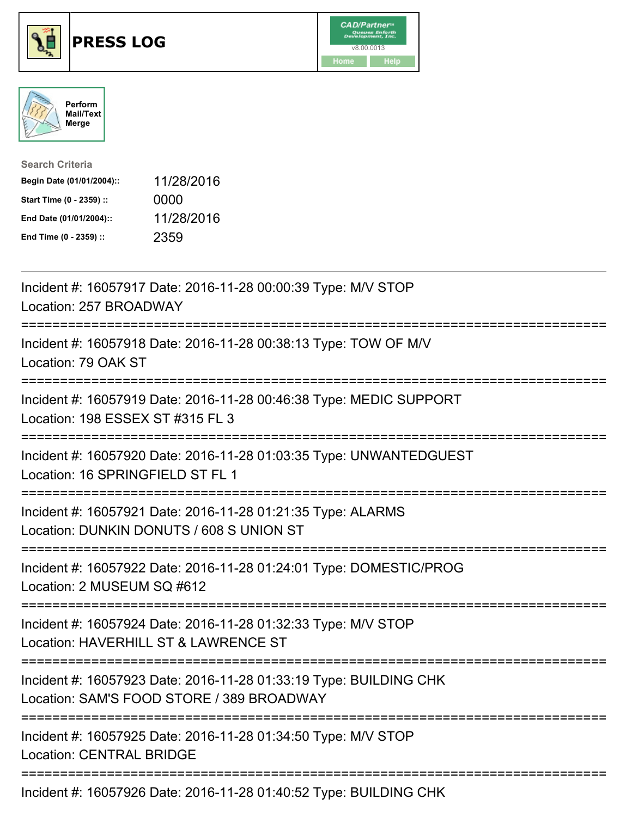





| <b>Search Criteria</b>    |            |
|---------------------------|------------|
| Begin Date (01/01/2004):: | 11/28/2016 |
| Start Time (0 - 2359) ::  | 0000       |
| End Date (01/01/2004)::   | 11/28/2016 |
| End Time (0 - 2359) ::    | 2359       |

| Incident #: 16057917 Date: 2016-11-28 00:00:39 Type: M/V STOP<br>Location: 257 BROADWAY                                                                                                                                                                                                                                            |
|------------------------------------------------------------------------------------------------------------------------------------------------------------------------------------------------------------------------------------------------------------------------------------------------------------------------------------|
| Incident #: 16057918 Date: 2016-11-28 00:38:13 Type: TOW OF M/V<br>Location: 79 OAK ST                                                                                                                                                                                                                                             |
| Incident #: 16057919 Date: 2016-11-28 00:46:38 Type: MEDIC SUPPORT<br>Location: 198 ESSEX ST #315 FL 3                                                                                                                                                                                                                             |
| Incident #: 16057920 Date: 2016-11-28 01:03:35 Type: UNWANTEDGUEST<br>Location: 16 SPRINGFIELD ST FL 1<br>=======================                                                                                                                                                                                                  |
| Incident #: 16057921 Date: 2016-11-28 01:21:35 Type: ALARMS<br>Location: DUNKIN DONUTS / 608 S UNION ST<br>;==================================                                                                                                                                                                                     |
| Incident #: 16057922 Date: 2016-11-28 01:24:01 Type: DOMESTIC/PROG<br>Location: 2 MUSEUM SQ #612                                                                                                                                                                                                                                   |
| Incident #: 16057924 Date: 2016-11-28 01:32:33 Type: M/V STOP<br>Location: HAVERHILL ST & LAWRENCE ST                                                                                                                                                                                                                              |
| Incident #: 16057923 Date: 2016-11-28 01:33:19 Type: BUILDING CHK<br>Location: SAM'S FOOD STORE / 389 BROADWAY                                                                                                                                                                                                                     |
| Incident #: 16057925 Date: 2016-11-28 01:34:50 Type: M/V STOP<br><b>Location: CENTRAL BRIDGE</b>                                                                                                                                                                                                                                   |
| $\mathbf{1}$ $\mathbf{1}$ $\mathbf{1}$ $\mathbf{1}$ $\mathbf{1}$ $\mathbf{2}$ $\mathbf{3}$ $\mathbf{5}$ $\mathbf{5}$ $\mathbf{1}$ $\mathbf{2}$ $\mathbf{3}$ $\mathbf{4}$ $\mathbf{1}$ $\mathbf{3}$ $\mathbf{5}$ $\mathbf{4}$ $\mathbf{1}$ $\mathbf{5}$ $\mathbf{5}$ $\mathbf{6}$ $\mathbf{7}$ $\mathbf{6}$ $\mathbf{1}$ $\mathbf{$ |

Incident #: 16057926 Date: 2016-11-28 01:40:52 Type: BUILDING CHK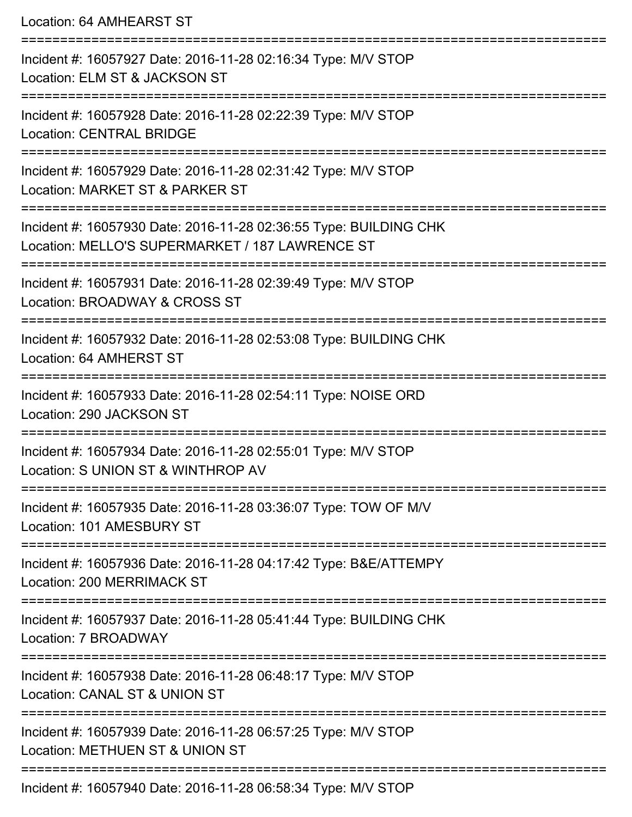Location: 64 AMHEARST ST

| Incident #: 16057927 Date: 2016-11-28 02:16:34 Type: M/V STOP<br>Location: ELM ST & JACKSON ST                       |
|----------------------------------------------------------------------------------------------------------------------|
| Incident #: 16057928 Date: 2016-11-28 02:22:39 Type: M/V STOP<br><b>Location: CENTRAL BRIDGE</b>                     |
| Incident #: 16057929 Date: 2016-11-28 02:31:42 Type: M/V STOP<br>Location: MARKET ST & PARKER ST                     |
| Incident #: 16057930 Date: 2016-11-28 02:36:55 Type: BUILDING CHK<br>Location: MELLO'S SUPERMARKET / 187 LAWRENCE ST |
| Incident #: 16057931 Date: 2016-11-28 02:39:49 Type: M/V STOP<br>Location: BROADWAY & CROSS ST                       |
| Incident #: 16057932 Date: 2016-11-28 02:53:08 Type: BUILDING CHK<br>Location: 64 AMHERST ST                         |
| Incident #: 16057933 Date: 2016-11-28 02:54:11 Type: NOISE ORD<br>Location: 290 JACKSON ST                           |
| Incident #: 16057934 Date: 2016-11-28 02:55:01 Type: M/V STOP<br>Location: S UNION ST & WINTHROP AV                  |
| Incident #: 16057935 Date: 2016-11-28 03:36:07 Type: TOW OF M/V<br>Location: 101 AMESBURY ST                         |
| Incident #: 16057936 Date: 2016-11-28 04:17:42 Type: B&E/ATTEMPY<br>Location: 200 MERRIMACK ST                       |
| ============<br>Incident #: 16057937 Date: 2016-11-28 05:41:44 Type: BUILDING CHK<br>Location: 7 BROADWAY            |
| Incident #: 16057938 Date: 2016-11-28 06:48:17 Type: M/V STOP<br>Location: CANAL ST & UNION ST                       |
| Incident #: 16057939 Date: 2016-11-28 06:57:25 Type: M/V STOP<br>Location: METHUEN ST & UNION ST                     |
| Incident #: 16057940 Date: 2016-11-28 06:58:34 Type: M/V STOP                                                        |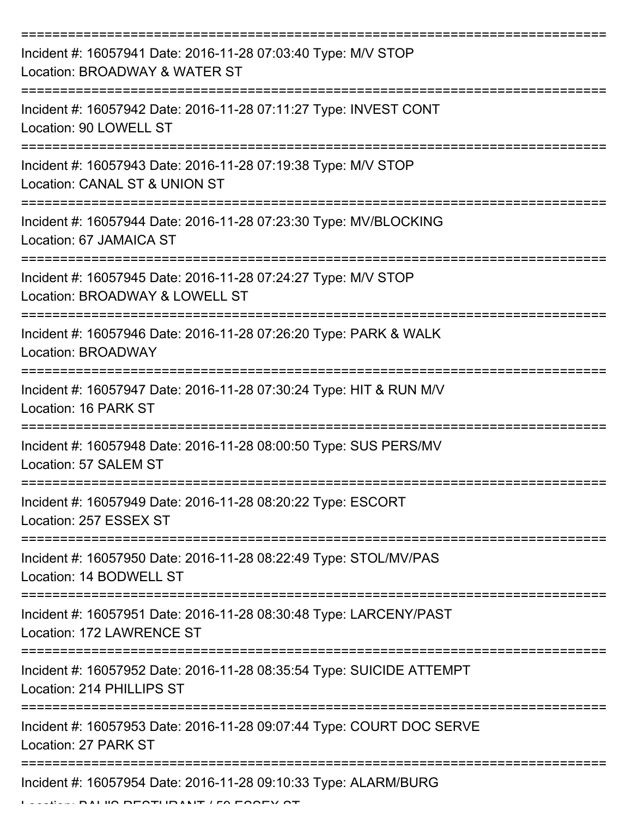| Incident #: 16057941 Date: 2016-11-28 07:03:40 Type: M/V STOP<br>Location: BROADWAY & WATER ST    |
|---------------------------------------------------------------------------------------------------|
| Incident #: 16057942 Date: 2016-11-28 07:11:27 Type: INVEST CONT<br>Location: 90 LOWELL ST        |
| Incident #: 16057943 Date: 2016-11-28 07:19:38 Type: M/V STOP<br>Location: CANAL ST & UNION ST    |
| Incident #: 16057944 Date: 2016-11-28 07:23:30 Type: MV/BLOCKING<br>Location: 67 JAMAICA ST       |
| Incident #: 16057945 Date: 2016-11-28 07:24:27 Type: M/V STOP<br>Location: BROADWAY & LOWELL ST   |
| Incident #: 16057946 Date: 2016-11-28 07:26:20 Type: PARK & WALK<br>Location: BROADWAY            |
| Incident #: 16057947 Date: 2016-11-28 07:30:24 Type: HIT & RUN M/V<br>Location: 16 PARK ST        |
| Incident #: 16057948 Date: 2016-11-28 08:00:50 Type: SUS PERS/MV<br>Location: 57 SALEM ST         |
| Incident #: 16057949 Date: 2016-11-28 08:20:22 Type: ESCORT<br>Location: 257 ESSEX ST             |
| Incident #: 16057950 Date: 2016-11-28 08:22:49 Type: STOL/MV/PAS<br>Location: 14 BODWELL ST       |
| Incident #: 16057951 Date: 2016-11-28 08:30:48 Type: LARCENY/PAST<br>Location: 172 LAWRENCE ST    |
| Incident #: 16057952 Date: 2016-11-28 08:35:54 Type: SUICIDE ATTEMPT<br>Location: 214 PHILLIPS ST |
| Incident #: 16057953 Date: 2016-11-28 09:07:44 Type: COURT DOC SERVE<br>Location: 27 PARK ST      |
| Incident #: 16057954 Date: 2016-11-28 09:10:33 Type: ALARM/BURG                                   |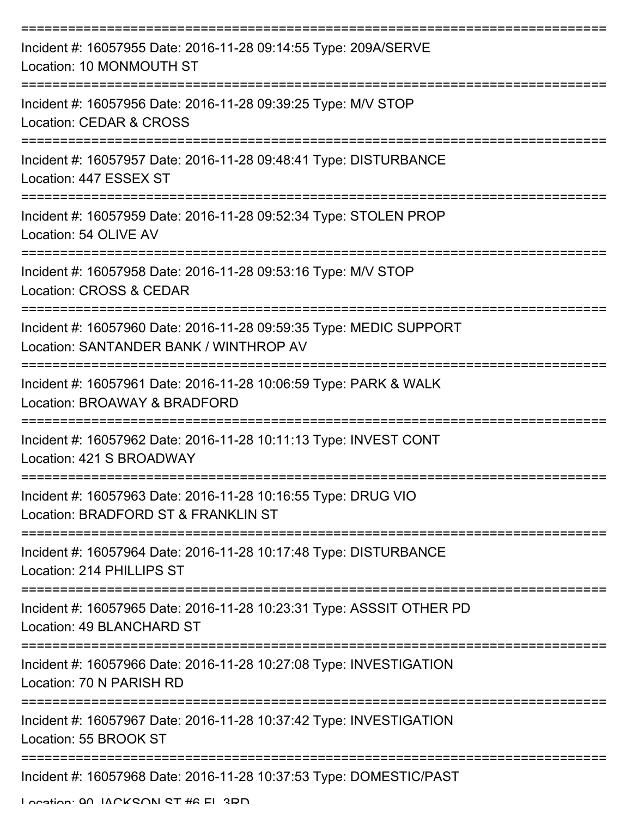| Incident #: 16057955 Date: 2016-11-28 09:14:55 Type: 209A/SERVE<br>Location: 10 MONMOUTH ST                  |
|--------------------------------------------------------------------------------------------------------------|
| Incident #: 16057956 Date: 2016-11-28 09:39:25 Type: M/V STOP<br>Location: CEDAR & CROSS                     |
| Incident #: 16057957 Date: 2016-11-28 09:48:41 Type: DISTURBANCE<br>Location: 447 ESSEX ST                   |
| Incident #: 16057959 Date: 2016-11-28 09:52:34 Type: STOLEN PROP<br>Location: 54 OLIVE AV                    |
| Incident #: 16057958 Date: 2016-11-28 09:53:16 Type: M/V STOP<br>Location: CROSS & CEDAR                     |
| Incident #: 16057960 Date: 2016-11-28 09:59:35 Type: MEDIC SUPPORT<br>Location: SANTANDER BANK / WINTHROP AV |
| Incident #: 16057961 Date: 2016-11-28 10:06:59 Type: PARK & WALK<br>Location: BROAWAY & BRADFORD             |
| Incident #: 16057962 Date: 2016-11-28 10:11:13 Type: INVEST CONT<br>Location: 421 S BROADWAY                 |
| Incident #: 16057963 Date: 2016-11-28 10:16:55 Type: DRUG VIO<br>Location: BRADFORD ST & FRANKLIN ST         |
| Incident #: 16057964 Date: 2016-11-28 10:17:48 Type: DISTURBANCE<br>Location: 214 PHILLIPS ST                |
| Incident #: 16057965 Date: 2016-11-28 10:23:31 Type: ASSSIT OTHER PD<br>Location: 49 BLANCHARD ST            |
| Incident #: 16057966 Date: 2016-11-28 10:27:08 Type: INVESTIGATION<br>Location: 70 N PARISH RD               |
| Incident #: 16057967 Date: 2016-11-28 10:37:42 Type: INVESTIGATION<br>Location: 55 BROOK ST                  |
| Incident #: 16057968 Date: 2016-11-28 10:37:53 Type: DOMESTIC/PAST                                           |

Location: 00 JACKSON ST #6 FL 3DD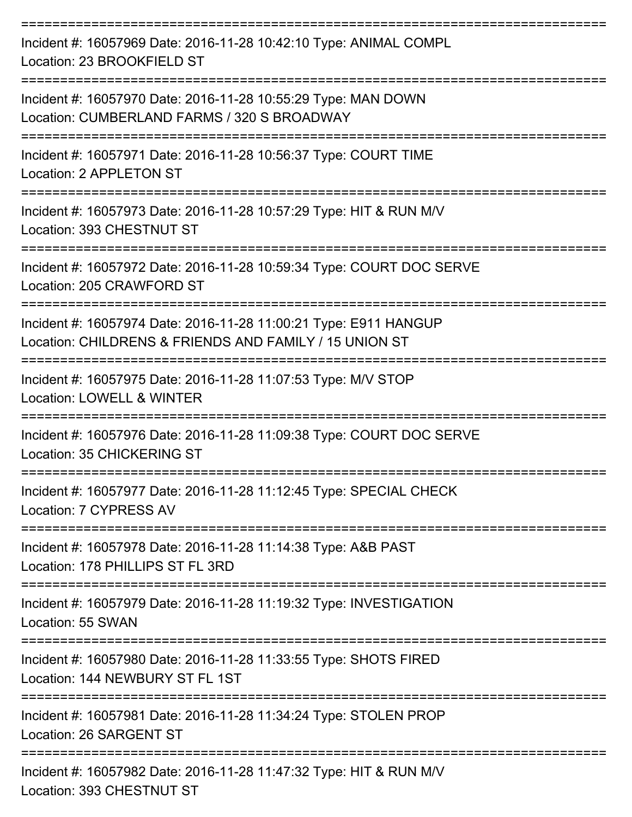| Incident #: 16057969 Date: 2016-11-28 10:42:10 Type: ANIMAL COMPL<br>Location: 23 BROOKFIELD ST                            |
|----------------------------------------------------------------------------------------------------------------------------|
| Incident #: 16057970 Date: 2016-11-28 10:55:29 Type: MAN DOWN<br>Location: CUMBERLAND FARMS / 320 S BROADWAY               |
| Incident #: 16057971 Date: 2016-11-28 10:56:37 Type: COURT TIME<br>Location: 2 APPLETON ST                                 |
| Incident #: 16057973 Date: 2016-11-28 10:57:29 Type: HIT & RUN M/V<br>Location: 393 CHESTNUT ST                            |
| Incident #: 16057972 Date: 2016-11-28 10:59:34 Type: COURT DOC SERVE<br>Location: 205 CRAWFORD ST                          |
| Incident #: 16057974 Date: 2016-11-28 11:00:21 Type: E911 HANGUP<br>Location: CHILDRENS & FRIENDS AND FAMILY / 15 UNION ST |
| Incident #: 16057975 Date: 2016-11-28 11:07:53 Type: M/V STOP<br>Location: LOWELL & WINTER                                 |
| Incident #: 16057976 Date: 2016-11-28 11:09:38 Type: COURT DOC SERVE<br>Location: 35 CHICKERING ST                         |
| Incident #: 16057977 Date: 2016-11-28 11:12:45 Type: SPECIAL CHECK<br>Location: 7 CYPRESS AV<br>-----------------          |
| Incident #: 16057978 Date: 2016-11-28 11:14:38 Type: A&B PAST<br>Location: 178 PHILLIPS ST FL 3RD                          |
| Incident #: 16057979 Date: 2016-11-28 11:19:32 Type: INVESTIGATION<br>Location: 55 SWAN                                    |
| Incident #: 16057980 Date: 2016-11-28 11:33:55 Type: SHOTS FIRED<br>Location: 144 NEWBURY ST FL 1ST                        |
| Incident #: 16057981 Date: 2016-11-28 11:34:24 Type: STOLEN PROP<br>Location: 26 SARGENT ST                                |
| Incident #: 16057982 Date: 2016-11-28 11:47:32 Type: HIT & RUN M/V<br>Location: 393 CHESTNUT ST                            |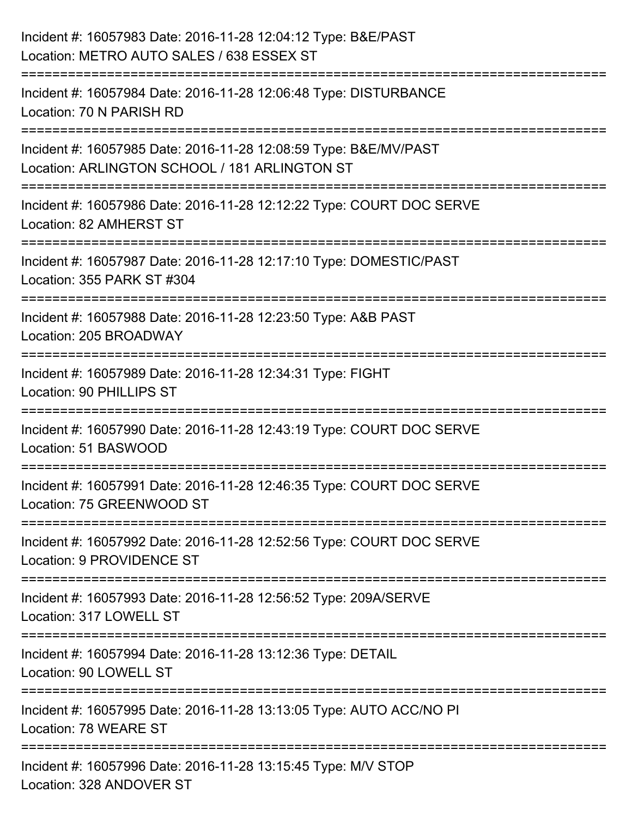| Incident #: 16057983 Date: 2016-11-28 12:04:12 Type: B&E/PAST<br>Location: METRO AUTO SALES / 638 ESSEX ST                                  |
|---------------------------------------------------------------------------------------------------------------------------------------------|
| ======================================<br>Incident #: 16057984 Date: 2016-11-28 12:06:48 Type: DISTURBANCE<br>Location: 70 N PARISH RD      |
| Incident #: 16057985 Date: 2016-11-28 12:08:59 Type: B&E/MV/PAST<br>Location: ARLINGTON SCHOOL / 181 ARLINGTON ST<br>====================== |
| Incident #: 16057986 Date: 2016-11-28 12:12:22 Type: COURT DOC SERVE<br>Location: 82 AMHERST ST                                             |
| Incident #: 16057987 Date: 2016-11-28 12:17:10 Type: DOMESTIC/PAST<br>Location: 355 PARK ST #304                                            |
| Incident #: 16057988 Date: 2016-11-28 12:23:50 Type: A&B PAST<br>Location: 205 BROADWAY                                                     |
| Incident #: 16057989 Date: 2016-11-28 12:34:31 Type: FIGHT<br>Location: 90 PHILLIPS ST                                                      |
| Incident #: 16057990 Date: 2016-11-28 12:43:19 Type: COURT DOC SERVE<br>Location: 51 BASWOOD                                                |
| Incident #: 16057991 Date: 2016-11-28 12:46:35 Type: COURT DOC SERVE<br>Location: 75 GREENWOOD ST                                           |
| Incident #: 16057992 Date: 2016-11-28 12:52:56 Type: COURT DOC SERVE<br>Location: 9 PROVIDENCE ST                                           |
| Incident #: 16057993 Date: 2016-11-28 12:56:52 Type: 209A/SERVE<br>Location: 317 LOWELL ST                                                  |
| Incident #: 16057994 Date: 2016-11-28 13:12:36 Type: DETAIL<br>Location: 90 LOWELL ST                                                       |
| Incident #: 16057995 Date: 2016-11-28 13:13:05 Type: AUTO ACC/NO PI<br>Location: 78 WEARE ST                                                |
| Incident #: 16057996 Date: 2016-11-28 13:15:45 Type: M/V STOP<br>Location: 328 ANDOVER ST                                                   |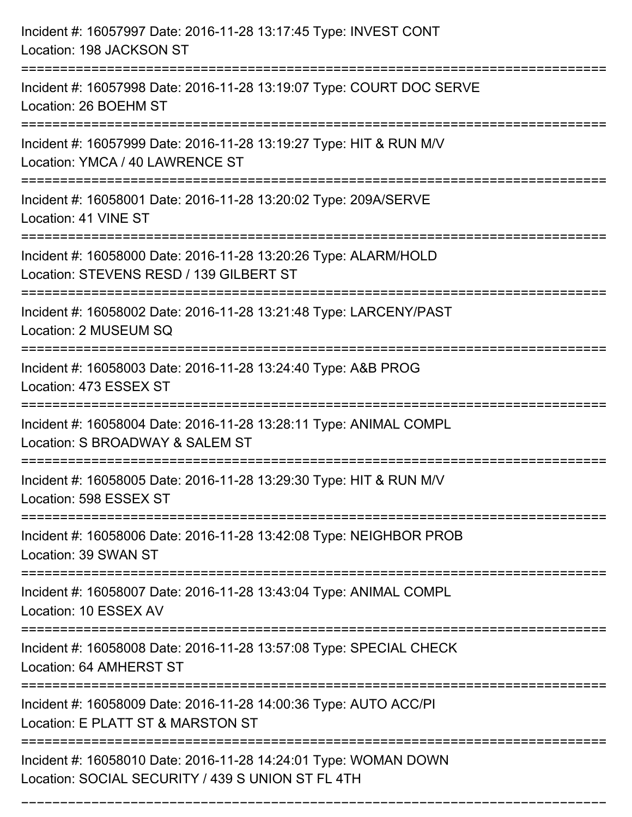| Incident #: 16057997 Date: 2016-11-28 13:17:45 Type: INVEST CONT<br>Location: 198 JACKSON ST                                         |
|--------------------------------------------------------------------------------------------------------------------------------------|
| Incident #: 16057998 Date: 2016-11-28 13:19:07 Type: COURT DOC SERVE<br>Location: 26 BOEHM ST                                        |
| Incident #: 16057999 Date: 2016-11-28 13:19:27 Type: HIT & RUN M/V<br>Location: YMCA / 40 LAWRENCE ST                                |
| Incident #: 16058001 Date: 2016-11-28 13:20:02 Type: 209A/SERVE<br>Location: 41 VINE ST                                              |
| Incident #: 16058000 Date: 2016-11-28 13:20:26 Type: ALARM/HOLD<br>Location: STEVENS RESD / 139 GILBERT ST<br>====================== |
| Incident #: 16058002 Date: 2016-11-28 13:21:48 Type: LARCENY/PAST<br>Location: 2 MUSEUM SQ                                           |
| Incident #: 16058003 Date: 2016-11-28 13:24:40 Type: A&B PROG<br>Location: 473 ESSEX ST                                              |
| Incident #: 16058004 Date: 2016-11-28 13:28:11 Type: ANIMAL COMPL<br>Location: S BROADWAY & SALEM ST                                 |
| Incident #: 16058005 Date: 2016-11-28 13:29:30 Type: HIT & RUN M/V<br>Location: 598 ESSEX ST                                         |
| Incident #: 16058006 Date: 2016-11-28 13:42:08 Type: NEIGHBOR PROB<br>Location: 39 SWAN ST                                           |
| Incident #: 16058007 Date: 2016-11-28 13:43:04 Type: ANIMAL COMPL<br>Location: 10 ESSEX AV                                           |
| Incident #: 16058008 Date: 2016-11-28 13:57:08 Type: SPECIAL CHECK<br>Location: 64 AMHERST ST                                        |
| Incident #: 16058009 Date: 2016-11-28 14:00:36 Type: AUTO ACC/PI<br>Location: E PLATT ST & MARSTON ST                                |
| Incident #: 16058010 Date: 2016-11-28 14:24:01 Type: WOMAN DOWN<br>Location: SOCIAL SECURITY / 439 S UNION ST FL 4TH                 |

===========================================================================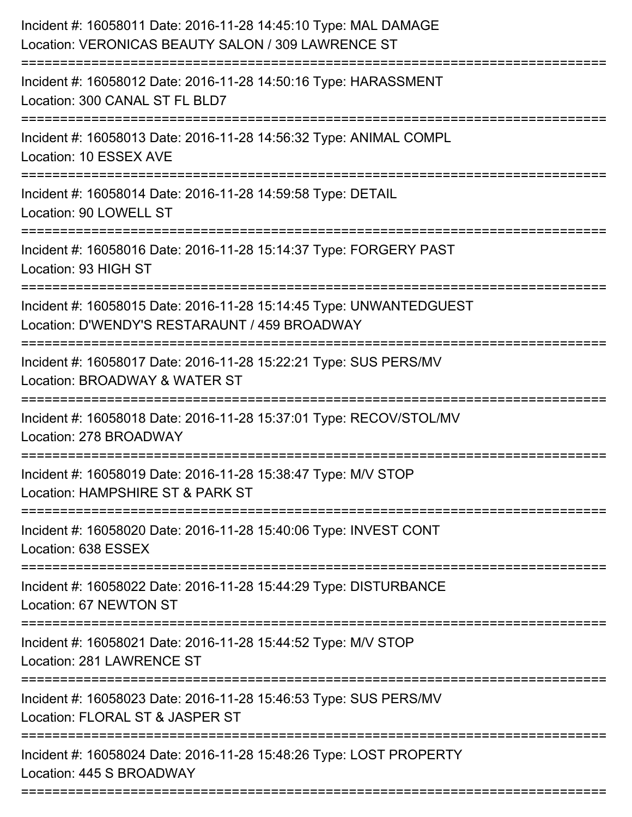| Incident #: 16058011 Date: 2016-11-28 14:45:10 Type: MAL DAMAGE<br>Location: VERONICAS BEAUTY SALON / 309 LAWRENCE ST |
|-----------------------------------------------------------------------------------------------------------------------|
| Incident #: 16058012 Date: 2016-11-28 14:50:16 Type: HARASSMENT<br>Location: 300 CANAL ST FL BLD7                     |
| Incident #: 16058013 Date: 2016-11-28 14:56:32 Type: ANIMAL COMPL<br>Location: 10 ESSEX AVE                           |
| Incident #: 16058014 Date: 2016-11-28 14:59:58 Type: DETAIL<br>Location: 90 LOWELL ST                                 |
| Incident #: 16058016 Date: 2016-11-28 15:14:37 Type: FORGERY PAST<br>Location: 93 HIGH ST                             |
| Incident #: 16058015 Date: 2016-11-28 15:14:45 Type: UNWANTEDGUEST<br>Location: D'WENDY'S RESTARAUNT / 459 BROADWAY   |
| Incident #: 16058017 Date: 2016-11-28 15:22:21 Type: SUS PERS/MV<br>Location: BROADWAY & WATER ST                     |
| Incident #: 16058018 Date: 2016-11-28 15:37:01 Type: RECOV/STOL/MV<br>Location: 278 BROADWAY                          |
| Incident #: 16058019 Date: 2016-11-28 15:38:47 Type: M/V STOP<br>Location: HAMPSHIRE ST & PARK ST                     |
| Incident #: 16058020 Date: 2016-11-28 15:40:06 Type: INVEST CONT<br>Location: 638 ESSEX                               |
| Incident #: 16058022 Date: 2016-11-28 15:44:29 Type: DISTURBANCE<br>Location: 67 NEWTON ST                            |
| Incident #: 16058021 Date: 2016-11-28 15:44:52 Type: M/V STOP<br>Location: 281 LAWRENCE ST                            |
| Incident #: 16058023 Date: 2016-11-28 15:46:53 Type: SUS PERS/MV<br>Location: FLORAL ST & JASPER ST                   |
| Incident #: 16058024 Date: 2016-11-28 15:48:26 Type: LOST PROPERTY<br>Location: 445 S BROADWAY                        |
|                                                                                                                       |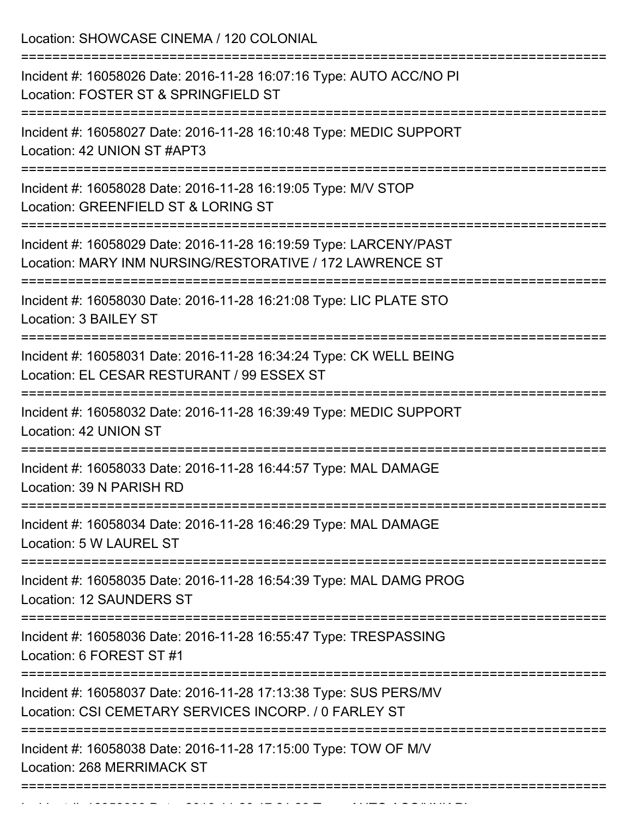Location: SHOWCASE CINEMA / 120 COLONIAL

| Incident #: 16058026 Date: 2016-11-28 16:07:16 Type: AUTO ACC/NO PI<br>Location: FOSTER ST & SPRINGFIELD ST                   |
|-------------------------------------------------------------------------------------------------------------------------------|
| Incident #: 16058027 Date: 2016-11-28 16:10:48 Type: MEDIC SUPPORT<br>Location: 42 UNION ST #APT3                             |
| Incident #: 16058028 Date: 2016-11-28 16:19:05 Type: M/V STOP<br>Location: GREENFIELD ST & LORING ST                          |
| Incident #: 16058029 Date: 2016-11-28 16:19:59 Type: LARCENY/PAST<br>Location: MARY INM NURSING/RESTORATIVE / 172 LAWRENCE ST |
| Incident #: 16058030 Date: 2016-11-28 16:21:08 Type: LIC PLATE STO<br>Location: 3 BAILEY ST                                   |
| Incident #: 16058031 Date: 2016-11-28 16:34:24 Type: CK WELL BEING<br>Location: EL CESAR RESTURANT / 99 ESSEX ST              |
| Incident #: 16058032 Date: 2016-11-28 16:39:49 Type: MEDIC SUPPORT<br>Location: 42 UNION ST                                   |
| Incident #: 16058033 Date: 2016-11-28 16:44:57 Type: MAL DAMAGE<br>Location: 39 N PARISH RD                                   |
| Incident #: 16058034 Date: 2016-11-28 16:46:29 Type: MAL DAMAGE<br>Location: 5 W LAUREL ST                                    |
| =================<br>Incident #: 16058035 Date: 2016-11-28 16:54:39 Type: MAL DAMG PROG<br><b>Location: 12 SAUNDERS ST</b>    |
| Incident #: 16058036 Date: 2016-11-28 16:55:47 Type: TRESPASSING<br>Location: 6 FOREST ST #1                                  |
| Incident #: 16058037 Date: 2016-11-28 17:13:38 Type: SUS PERS/MV<br>Location: CSI CEMETARY SERVICES INCORP. / 0 FARLEY ST     |
| Incident #: 16058038 Date: 2016-11-28 17:15:00 Type: TOW OF M/V<br><b>Location: 268 MERRIMACK ST</b>                          |
|                                                                                                                               |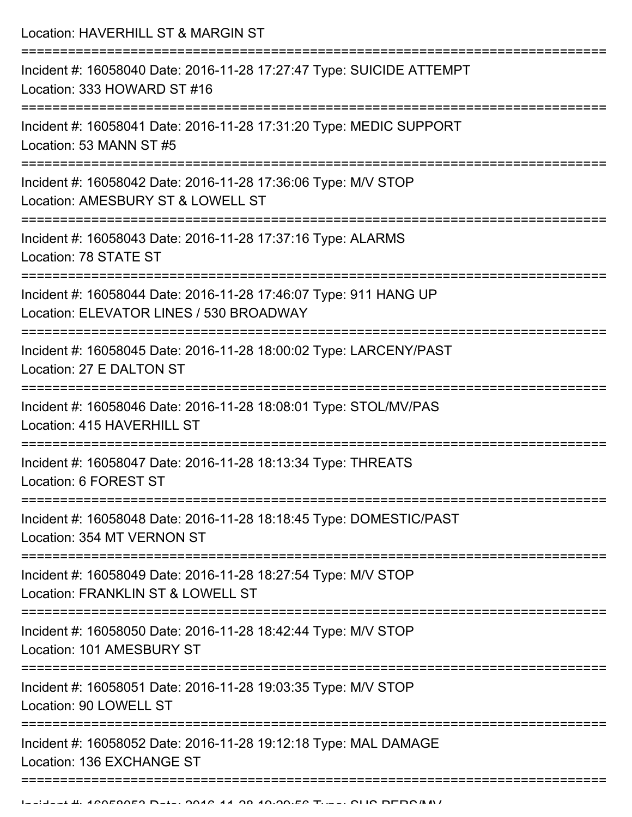Location: HAVERHILL ST & MARGIN ST =========================================================================== Incident #: 16058040 Date: 2016-11-28 17:27:47 Type: SUICIDE ATTEMPT Location: 333 HOWARD ST #16 =========================================================================== Incident #: 16058041 Date: 2016-11-28 17:31:20 Type: MEDIC SUPPORT Location: 53 MANN ST #5 =========================================================================== Incident #: 16058042 Date: 2016-11-28 17:36:06 Type: M/V STOP Location: AMESBURY ST & LOWELL ST =========================================================================== Incident #: 16058043 Date: 2016-11-28 17:37:16 Type: ALARMS Location: 78 STATE ST =========================================================================== Incident #: 16058044 Date: 2016-11-28 17:46:07 Type: 911 HANG UP Location: ELEVATOR LINES / 530 BROADWAY =========================================================================== Incident #: 16058045 Date: 2016-11-28 18:00:02 Type: LARCENY/PAST Location: 27 E DALTON ST =========================================================================== Incident #: 16058046 Date: 2016-11-28 18:08:01 Type: STOL/MV/PAS Location: 415 HAVERHILL ST =========================================================================== Incident #: 16058047 Date: 2016-11-28 18:13:34 Type: THREATS Location: 6 FOREST ST =========================================================================== Incident #: 16058048 Date: 2016-11-28 18:18:45 Type: DOMESTIC/PAST Location: 354 MT VERNON ST =========================================================================== Incident #: 16058049 Date: 2016-11-28 18:27:54 Type: M/V STOP Location: FRANKLIN ST & LOWELL ST =========================================================================== Incident #: 16058050 Date: 2016-11-28 18:42:44 Type: M/V STOP Location: 101 AMESBURY ST =========================================================================== Incident #: 16058051 Date: 2016-11-28 19:03:35 Type: M/V STOP Location: 90 LOWELL ST =========================================================================== Incident #: 16058052 Date: 2016-11-28 19:12:18 Type: MAL DAMAGE Location: 136 EXCHANGE ST

===========================================================================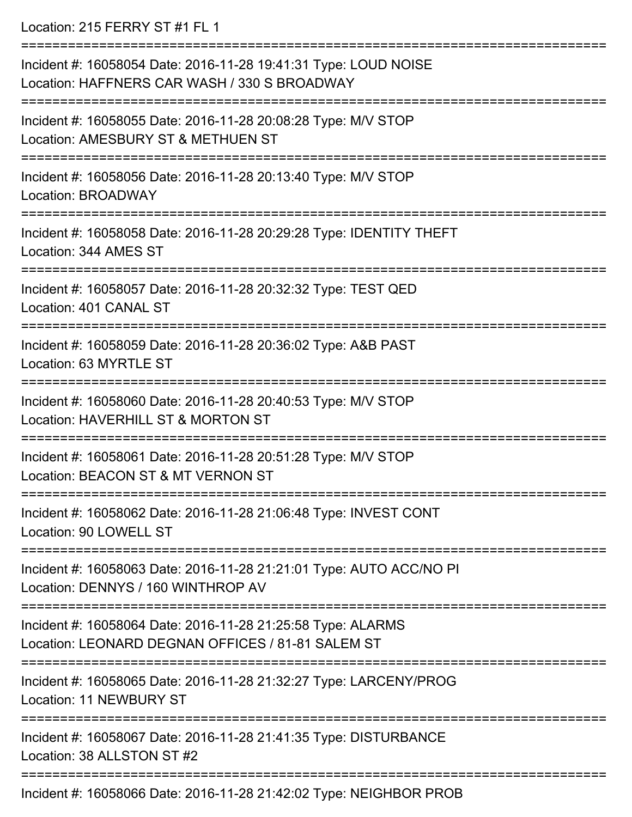Location: 215 FERRY ST #1 FL 1 =========================================================================== Incident #: 16058054 Date: 2016-11-28 19:41:31 Type: LOUD NOISE Location: HAFFNERS CAR WASH / 330 S BROADWAY =========================================================================== Incident #: 16058055 Date: 2016-11-28 20:08:28 Type: M/V STOP Location: AMESBURY ST & METHUEN ST =========================================================================== Incident #: 16058056 Date: 2016-11-28 20:13:40 Type: M/V STOP Location: BROADWAY =========================================================================== Incident #: 16058058 Date: 2016-11-28 20:29:28 Type: IDENTITY THEFT Location: 344 AMES ST =========================================================================== Incident #: 16058057 Date: 2016-11-28 20:32:32 Type: TEST QED Location: 401 CANAL ST =========================================================================== Incident #: 16058059 Date: 2016-11-28 20:36:02 Type: A&B PAST Location: 63 MYRTLE ST =========================================================================== Incident #: 16058060 Date: 2016-11-28 20:40:53 Type: M/V STOP Location: HAVERHILL ST & MORTON ST =========================================================================== Incident #: 16058061 Date: 2016-11-28 20:51:28 Type: M/V STOP Location: BEACON ST & MT VERNON ST =========================================================================== Incident #: 16058062 Date: 2016-11-28 21:06:48 Type: INVEST CONT Location: 90 LOWELL ST =========================================================================== Incident #: 16058063 Date: 2016-11-28 21:21:01 Type: AUTO ACC/NO PI Location: DENNYS / 160 WINTHROP AV =========================================================================== Incident #: 16058064 Date: 2016-11-28 21:25:58 Type: ALARMS Location: LEONARD DEGNAN OFFICES / 81-81 SALEM ST =========================================================================== Incident #: 16058065 Date: 2016-11-28 21:32:27 Type: LARCENY/PROG Location: 11 NEWBURY ST =========================================================================== Incident #: 16058067 Date: 2016-11-28 21:41:35 Type: DISTURBANCE Location: 38 ALLSTON ST #2 ===========================================================================

Incident #: 16058066 Date: 2016-11-28 21:42:02 Type: NEIGHBOR PROB